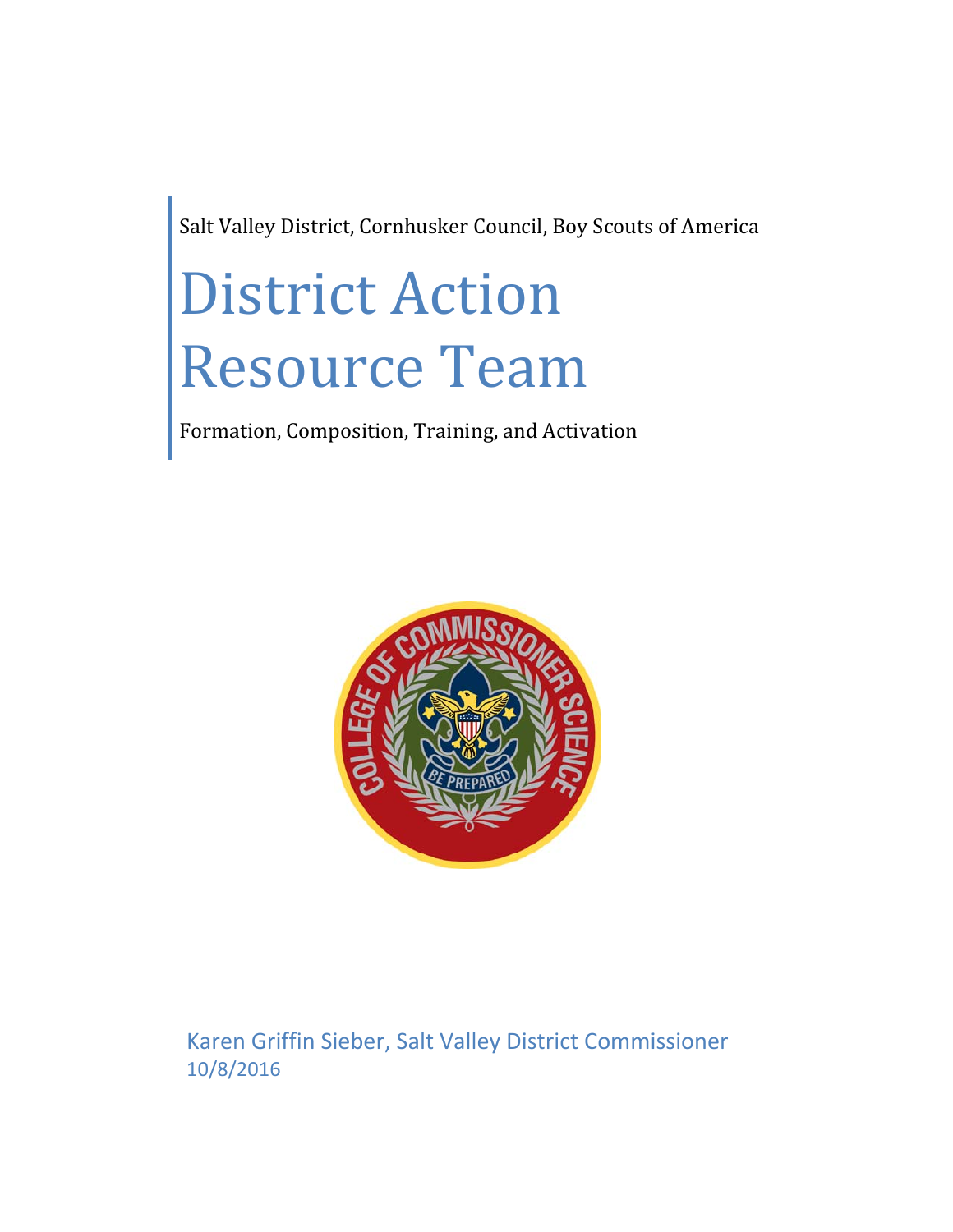Salt Valley District, Cornhusker Council, Boy Scouts of America

# District Action Resource Team

Formation, Composition, Training, and Activation



Karen Griffin Sieber, Salt Valley District Commissioner 10/8/2016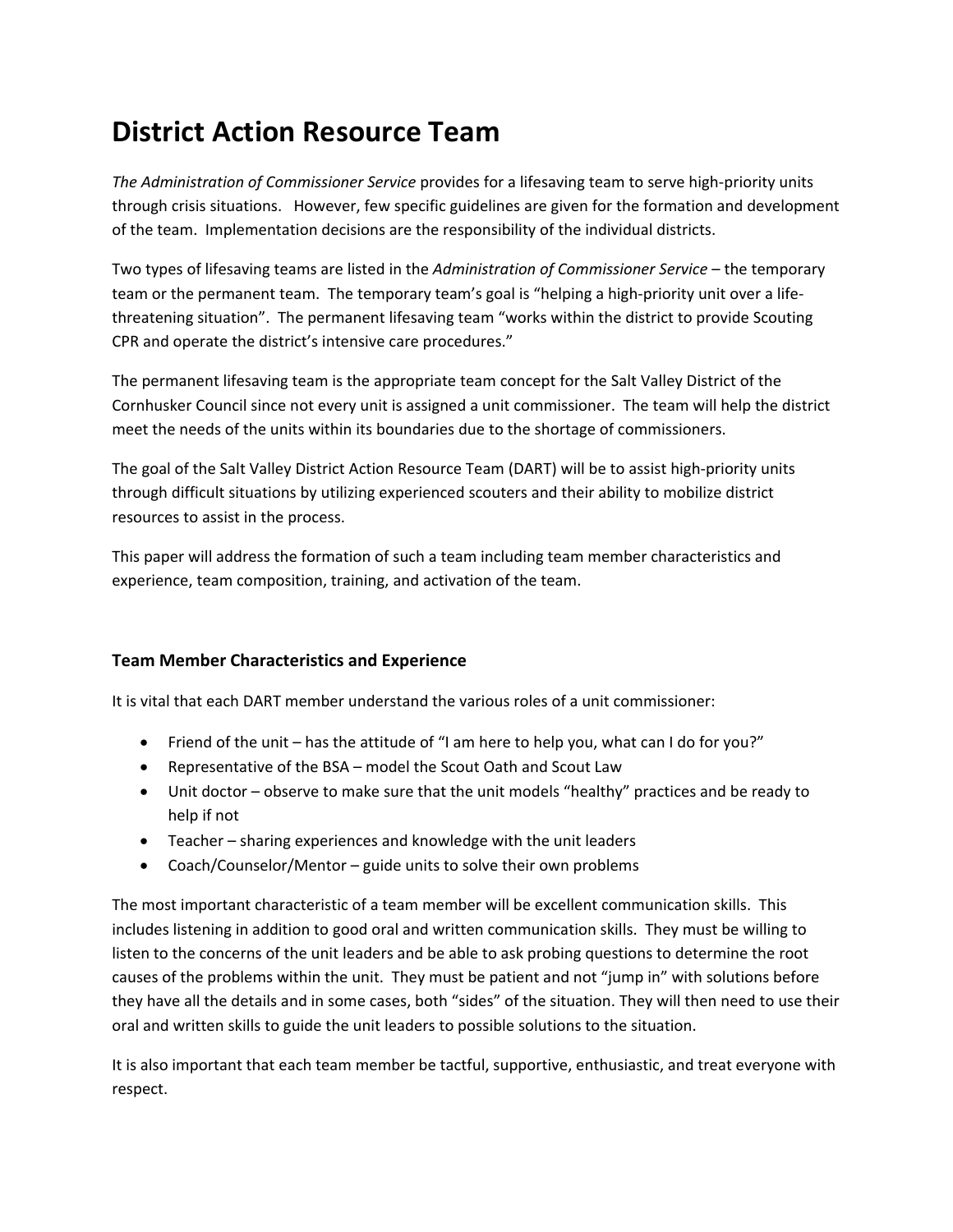## **District Action Resource Team**

*The Administration of Commissioner Service* provides for a lifesaving team to serve high‐priority units through crisis situations. However, few specific guidelines are given for the formation and development of the team. Implementation decisions are the responsibility of the individual districts.

Two types of lifesaving teams are listed in the *Administration of Commissioner Service* – the temporary team or the permanent team. The temporary team's goal is "helping a high-priority unit over a lifethreatening situation". The permanent lifesaving team "works within the district to provide Scouting CPR and operate the district's intensive care procedures."

The permanent lifesaving team is the appropriate team concept for the Salt Valley District of the Cornhusker Council since not every unit is assigned a unit commissioner. The team will help the district meet the needs of the units within its boundaries due to the shortage of commissioners.

The goal of the Salt Valley District Action Resource Team (DART) will be to assist high‐priority units through difficult situations by utilizing experienced scouters and their ability to mobilize district resources to assist in the process.

This paper will address the formation of such a team including team member characteristics and experience, team composition, training, and activation of the team.

#### **Team Member Characteristics and Experience**

It is vital that each DART member understand the various roles of a unit commissioner:

- Friend of the unit has the attitude of "I am here to help you, what can I do for you?"
- Representative of the BSA model the Scout Oath and Scout Law
- Unit doctor observe to make sure that the unit models "healthy" practices and be ready to help if not
- Teacher sharing experiences and knowledge with the unit leaders
- Coach/Counselor/Mentor guide units to solve their own problems

The most important characteristic of a team member will be excellent communication skills. This includes listening in addition to good oral and written communication skills. They must be willing to listen to the concerns of the unit leaders and be able to ask probing questions to determine the root causes of the problems within the unit. They must be patient and not "jump in" with solutions before they have all the details and in some cases, both "sides" of the situation. They will then need to use their oral and written skills to guide the unit leaders to possible solutions to the situation.

It is also important that each team member be tactful, supportive, enthusiastic, and treat everyone with respect.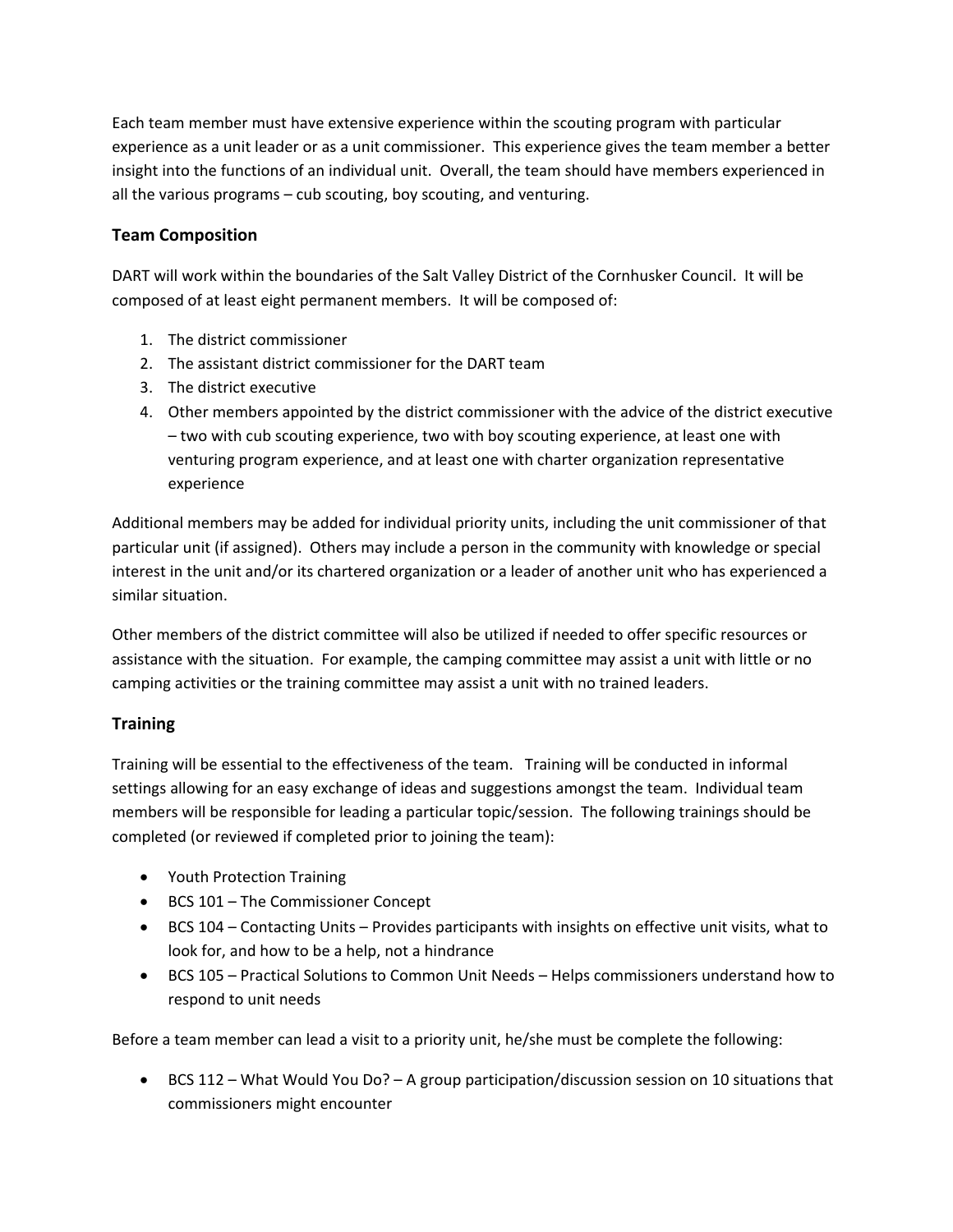Each team member must have extensive experience within the scouting program with particular experience as a unit leader or as a unit commissioner. This experience gives the team member a better insight into the functions of an individual unit. Overall, the team should have members experienced in all the various programs – cub scouting, boy scouting, and venturing.

#### **Team Composition**

DART will work within the boundaries of the Salt Valley District of the Cornhusker Council. It will be composed of at least eight permanent members. It will be composed of:

- 1. The district commissioner
- 2. The assistant district commissioner for the DART team
- 3. The district executive
- 4. Other members appointed by the district commissioner with the advice of the district executive – two with cub scouting experience, two with boy scouting experience, at least one with venturing program experience, and at least one with charter organization representative experience

Additional members may be added for individual priority units, including the unit commissioner of that particular unit (if assigned). Others may include a person in the community with knowledge or special interest in the unit and/or its chartered organization or a leader of another unit who has experienced a similar situation.

Other members of the district committee will also be utilized if needed to offer specific resources or assistance with the situation. For example, the camping committee may assist a unit with little or no camping activities or the training committee may assist a unit with no trained leaders.

#### **Training**

Training will be essential to the effectiveness of the team. Training will be conducted in informal settings allowing for an easy exchange of ideas and suggestions amongst the team. Individual team members will be responsible for leading a particular topic/session. The following trainings should be completed (or reviewed if completed prior to joining the team):

- Youth Protection Training
- BCS 101 The Commissioner Concept
- BCS 104 Contacting Units Provides participants with insights on effective unit visits, what to look for, and how to be a help, not a hindrance
- BCS 105 Practical Solutions to Common Unit Needs Helps commissioners understand how to respond to unit needs

Before a team member can lead a visit to a priority unit, he/she must be complete the following:

 $\bullet$  BCS 112 – What Would You Do? – A group participation/discussion session on 10 situations that commissioners might encounter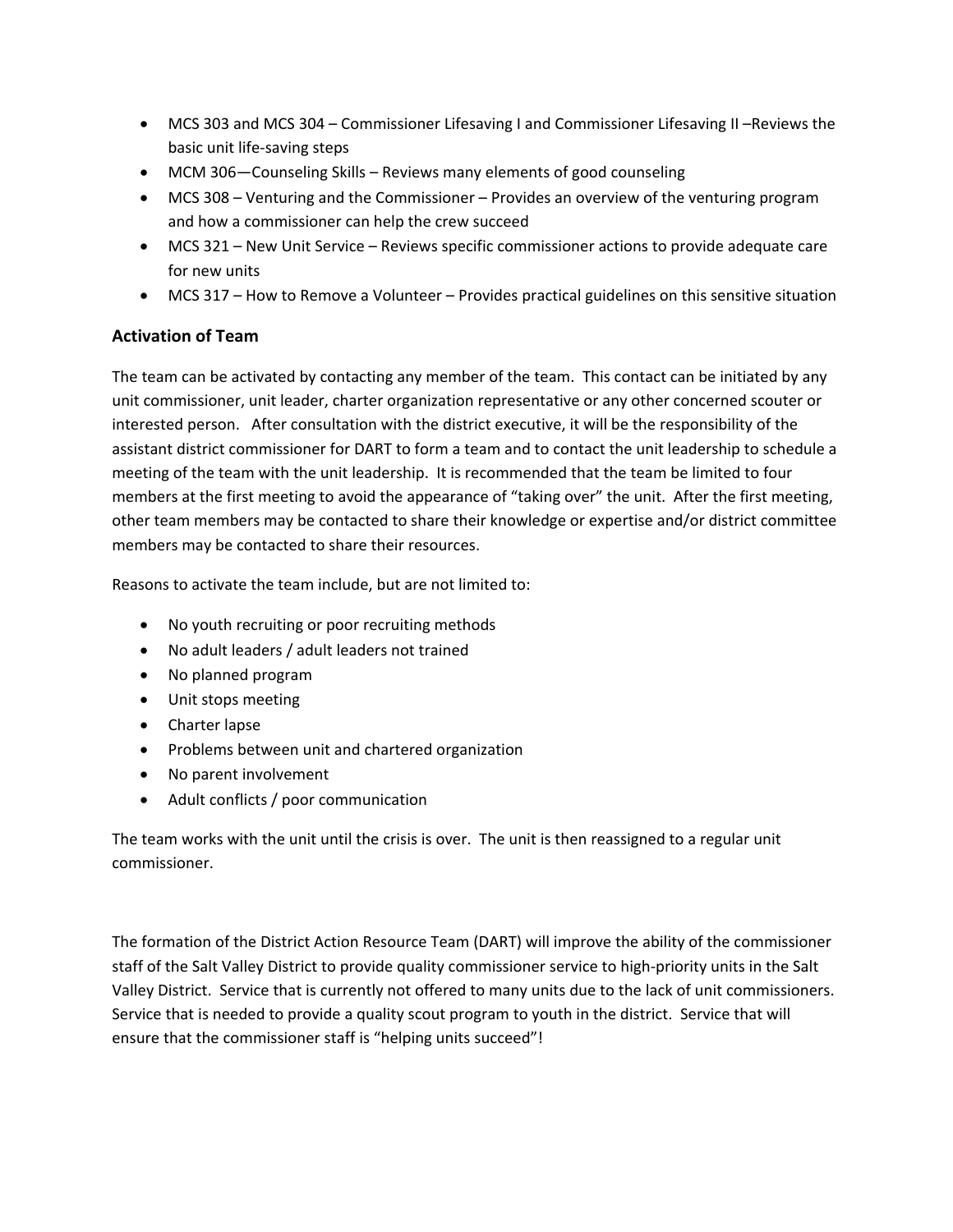- MCS 303 and MCS 304 Commissioner Lifesaving I and Commissioner Lifesaving II –Reviews the basic unit life‐saving steps
- MCM 306—Counseling Skills Reviews many elements of good counseling
- MCS 308 Venturing and the Commissioner Provides an overview of the venturing program and how a commissioner can help the crew succeed
- MCS 321 New Unit Service Reviews specific commissioner actions to provide adequate care for new units
- MCS 317 How to Remove a Volunteer Provides practical guidelines on this sensitive situation

#### **Activation of Team**

The team can be activated by contacting any member of the team. This contact can be initiated by any unit commissioner, unit leader, charter organization representative or any other concerned scouter or interested person. After consultation with the district executive, it will be the responsibility of the assistant district commissioner for DART to form a team and to contact the unit leadership to schedule a meeting of the team with the unit leadership. It is recommended that the team be limited to four members at the first meeting to avoid the appearance of "taking over" the unit. After the first meeting, other team members may be contacted to share their knowledge or expertise and/or district committee members may be contacted to share their resources.

Reasons to activate the team include, but are not limited to:

- No youth recruiting or poor recruiting methods
- No adult leaders / adult leaders not trained
- No planned program
- Unit stops meeting
- Charter lapse
- Problems between unit and chartered organization
- No parent involvement
- Adult conflicts / poor communication

The team works with the unit until the crisis is over. The unit is then reassigned to a regular unit commissioner.

The formation of the District Action Resource Team (DART) will improve the ability of the commissioner staff of the Salt Valley District to provide quality commissioner service to high‐priority units in the Salt Valley District. Service that is currently not offered to many units due to the lack of unit commissioners. Service that is needed to provide a quality scout program to youth in the district. Service that will ensure that the commissioner staff is "helping units succeed"!